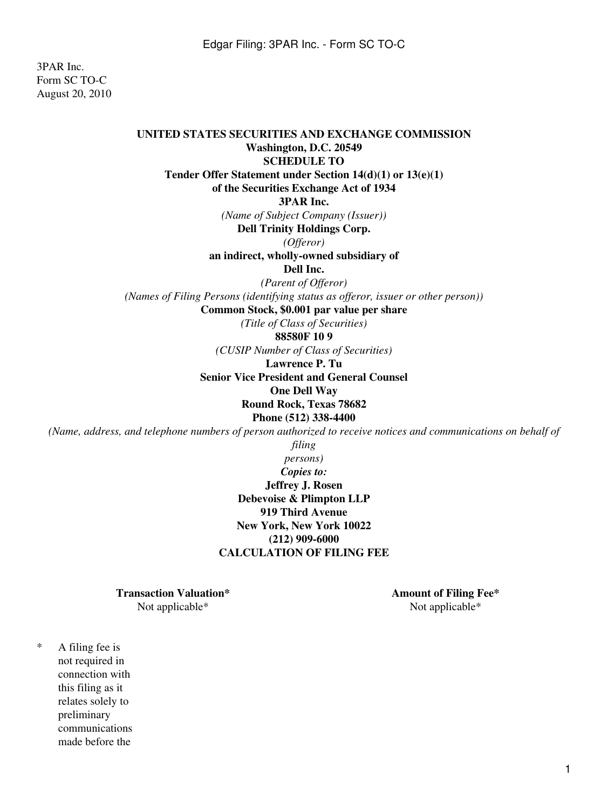3PAR Inc. Form SC TO-C August 20, 2010

### **UNITED STATES SECURITIES AND EXCHANGE COMMISSION Washington, D.C. 20549 SCHEDULE TO Tender Offer Statement under Section 14(d)(1) or 13(e)(1)**

#### **of the Securities Exchange Act of 1934**

**3PAR Inc.**

*(Name of Subject Company (Issuer))*

**Dell Trinity Holdings Corp.**

*(Offeror)*

**an indirect, wholly-owned subsidiary of**

**Dell Inc.**

*(Parent of Offeror)*

*(Names of Filing Persons (identifying status as offeror, issuer or other person))*

**Common Stock, \$0.001 par value per share**

*(Title of Class of Securities)*

**88580F 10 9**

*(CUSIP Number of Class of Securities)*

**Lawrence P. Tu**

**Senior Vice President and General Counsel**

**One Dell Way**

**Round Rock, Texas 78682**

**Phone (512) 338-4400**

*(Name, address, and telephone numbers of person authorized to receive notices and communications on behalf of*

*filing*

*persons)*

*Copies to:*

**Jeffrey J. Rosen Debevoise & Plimpton LLP 919 Third Avenue New York, New York 10022 (212) 909-6000 CALCULATION OF FILING FEE**

**Transaction Valuation\* Amount of Filing Fee\*** 

Not applicable\* Not applicable  $\mathbb N$ 

\* A filing fee is not required in connection with this filing as it relates solely to preliminary communications made before the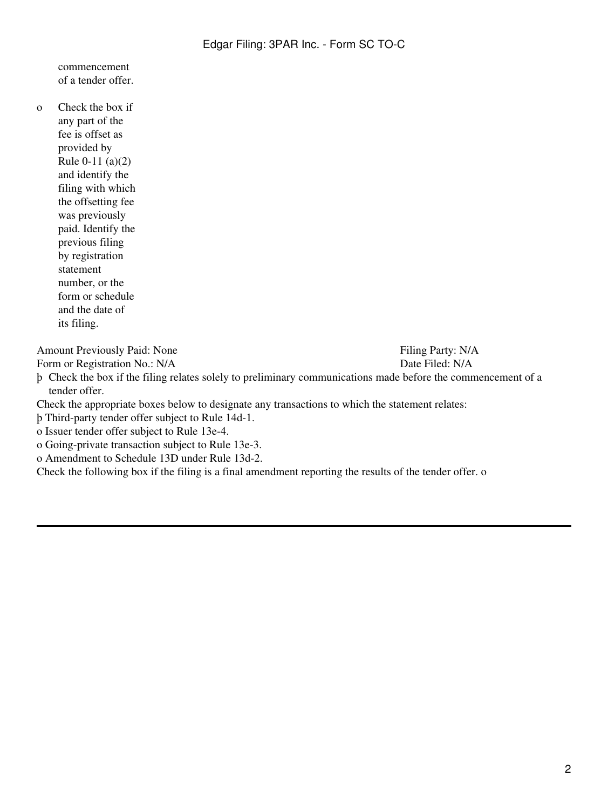commencement of a tender offer.

o Check the box if any part of the fee is offset as provided by Rule 0-11 (a)(2) and identify the filing with which the offsetting fee was previously paid. Identify the previous filing by registration statement number, or the form or schedule and the date of its filing.

Amount Previously Paid: None Filing Party: N/A

Form or Registration No.: N/A Date Filed: N/A

- þ Check the box if the filing relates solely to preliminary communications made before the commencement of a tender offer.
- Check the appropriate boxes below to designate any transactions to which the statement relates:
- þ Third-party tender offer subject to Rule 14d-1.
- o Issuer tender offer subject to Rule 13e-4.
- o Going-private transaction subject to Rule 13e-3.
- o Amendment to Schedule 13D under Rule 13d-2.

Check the following box if the filing is a final amendment reporting the results of the tender offer. o